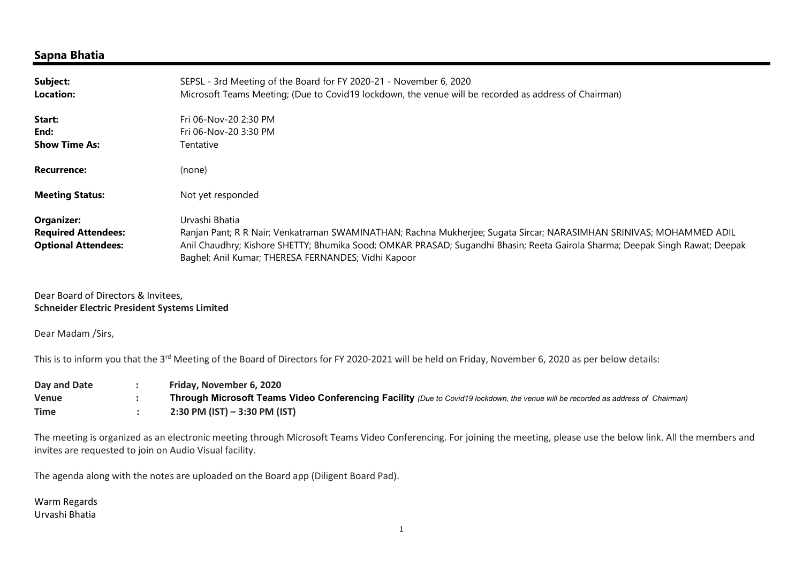## Sapna Bhatia

| Subject:<br>Location:                                                  | SEPSL - 3rd Meeting of the Board for FY 2020-21 - November 6, 2020<br>Microsoft Teams Meeting; (Due to Covid19 lockdown, the venue will be recorded as address of Chairman)                                                                                                                                                  |
|------------------------------------------------------------------------|------------------------------------------------------------------------------------------------------------------------------------------------------------------------------------------------------------------------------------------------------------------------------------------------------------------------------|
| Start:<br>End:                                                         | Fri 06-Nov-20 2:30 PM<br>Fri 06-Nov-20 3:30 PM                                                                                                                                                                                                                                                                               |
| <b>Show Time As:</b>                                                   | Tentative                                                                                                                                                                                                                                                                                                                    |
| <b>Recurrence:</b>                                                     | (none)                                                                                                                                                                                                                                                                                                                       |
| <b>Meeting Status:</b>                                                 | Not yet responded                                                                                                                                                                                                                                                                                                            |
| Organizer:<br><b>Required Attendees:</b><br><b>Optional Attendees:</b> | Urvashi Bhatia<br>Ranjan Pant; R R Nair; Venkatraman SWAMINATHAN; Rachna Mukherjee; Sugata Sircar; NARASIMHAN SRINIVAS; MOHAMMED ADIL<br>Anil Chaudhry; Kishore SHETTY; Bhumika Sood; OMKAR PRASAD; Sugandhi Bhasin; Reeta Gairola Sharma; Deepak Singh Rawat; Deepak<br>Baghel; Anil Kumar; THERESA FERNANDES; Vidhi Kapoor |

Dear Board of Directors & Invitees, Schneider Electric President Systems Limited

Dear Madam /Sirs,

This is to inform you that the 3<sup>rd</sup> Meeting of the Board of Directors for FY 2020-2021 will be held on Friday, November 6, 2020 as per below details:

| Day and Date | Friday, November 6, 2020                                                                                                         |
|--------------|----------------------------------------------------------------------------------------------------------------------------------|
| Venue        | Through Microsoft Teams Video Conferencing Facility (Due to Covid19 lockdown, the venue will be recorded as address of Chairman) |
| <b>Time</b>  | $2:30$ PM (IST) $-3:30$ PM (IST)                                                                                                 |

The meeting is organized as an electronic meeting through Microsoft Teams Video Conferencing. For joining the meeting, please use the below link. All the members and invites are requested to join on Audio Visual facility.

The agenda along with the notes are uploaded on the Board app (Diligent Board Pad).

Warm Regards Urvashi Bhatia